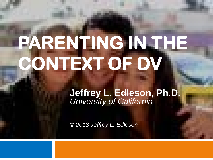## **PARENTING IN THE CONTEXT OF DV**

**Jeffrey L. Edleson, Ph.D.** *University of California*

*© 2013 Jeffrey L. Edleson*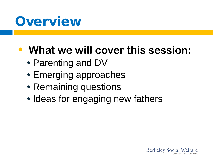#### **Overview**

#### • **What we will cover this session:**

- Parenting and DV
- Emerging approaches
- Remaining questions
- Ideas for engaging new fathers

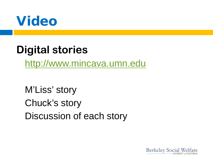

#### **Digital stories**

[http://www.mincava.umn.edu](http://www.mincava.umn.edu/)

M'Liss' story Chuck's story Discussion of each story

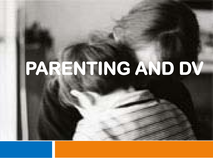# **PARENTING AND DV**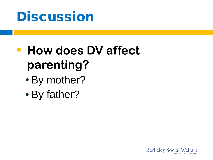

#### • **How does DV affect parenting?**

- By mother?
- By father?

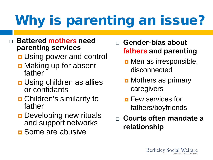## Why is parenting an issue?

- **Battered mothers need parenting services**
	- **<u>n</u>** Using power and control
	- **D** Making up for absent father
	- **<u>n</u>** Using children as allies or confidants
	- **D** Children's similarity to father
	- **Developing new rituals** and support networks
	- **<u>n</u>** Some are abusive
- **Gender-bias about fathers and parenting**
	- **D** Men as irresponsible, disconnected
	- **D** Mothers as primary caregivers
	- **<u>n</u>** Few services for fathers/boyfriends
- **Courts often mandate a relationship**

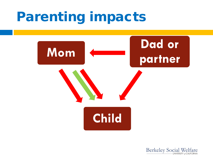#### Parenting impacts



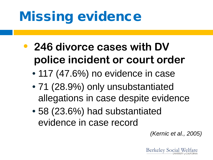### Missing evidence

- **246 divorce cases with DV police incident or court order** 
	- 117 (47.6%) no evidence in case
	- 71 (28.9%) only unsubstantiated allegations in case despite evidence
	- 58 (23.6%) had substantiated evidence in case record

*(Kernic et al., 2005)*

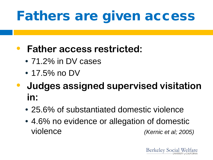### Fathers are given access

#### • **Father access restricted:**

- 71.2% in DV cases
- 17.5% no DV
- **Judges assigned supervised visitation in:**
	- 25.6% of substantiated domestic violence
	- 4.6% no evidence or allegation of domestic violence *(Kernic et al; 2005)*

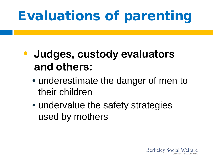### Evaluations of parenting

#### • **Judges, custody evaluators and others:**

- underestimate the danger of men to their children
- undervalue the safety strategies used by mothers

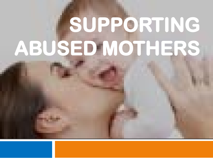# **SUPPORTING ABUSED MOTHERS**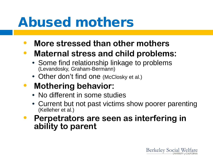#### Abused mothers

- **More stressed than other mothers**
- **Maternal stress and child problems:**
	- Some find relationship linkage to problems (Levandosky, Graham-Bermann)
	- Other don't find one (McClosky et al.)
- **Mothering behavior:**
	- No different in some studies
	- Current but not past victims show poorer parenting (Kelleher et al.)
- **Perpetrators are seen as interfering in ability to parent**

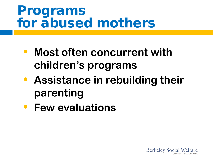#### Programs for abused mothers

- **Most often concurrent with children's programs**
- **Assistance in rebuilding their parenting**
- **Few evaluations**

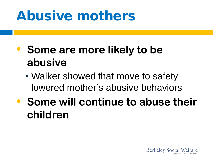### Abusive mothers

- **Some are more likely to be abusive**
	- Walker showed that move to safety lowered mother's abusive behaviors
- **Some will continue to abuse their children**

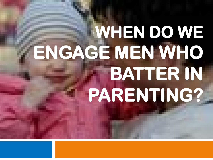## **WHEN DO WE ENGAGE MEN WHO BATTER IN PARENTING?**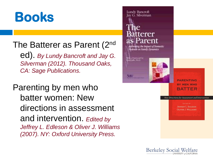#### **Books**

#### The Batterer as Parent (2nd

ed). *By Lundy Bancroft and Jay G. Silverman (2012). Thousand Oaks, CA: Sage Publications.*

Parenting by men who batter women: New directions in assessment and intervention. *Edited by Jeffrey L. Edleson & Oliver J. Williams (2007). NY: Oxford University Press.*



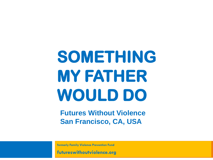## **SOMETHING MY FATHER WOULD DO**

**Futures Without Violence San Francisco, CA, USA**

**formerly Family Violence Prevention Fund**

**futureswithoutviolence.org**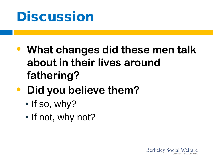

- **What changes did these men talk about in their lives around fathering?**
- **Did you believe them?**
	- $\cdot$  If so, why?
	- If not, why not?

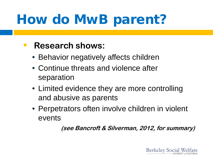### How do MwB parent?

#### • **Research shows:**

- Behavior negatively affects children
- Continue threats and violence after separation
- Limited evidence they are more controlling and abusive as parents
- Perpetrators often involve children in violent events

**(see Bancroft & Silverman, 2012, for summary)**

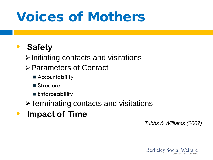#### Voices of Mothers

#### • **Safety**

 $\triangleright$  Initiating contacts and visitations

- Parameters of Contact
	- Accountability
	- Structure
	- **Enforceability**

**≻ Terminating contacts and visitations** 

• **Impact of Time**

*Tubbs & Williams (2007)*

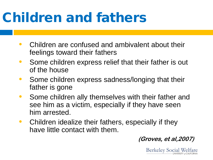### Children and fathers

- Children are confused and ambivalent about their feelings toward their fathers
- Some children express relief that their father is out of the house
- Some children express sadness/longing that their father is gone
- Some children ally themselves with their father and see him as a victim, especially if they have seen him arrested.
- Children idealize their fathers, especially if they have little contact with them.

**(Groves, et al,2007)**

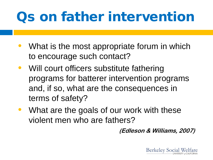### Qs on father intervention

- What is the most appropriate forum in which to encourage such contact?
- Will court officers substitute fathering programs for batterer intervention programs and, if so, what are the consequences in terms of safety?
- What are the goals of our work with these violent men who are fathers?

**(Edleson & Williams, 2007)**

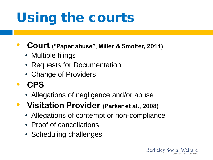### Using the courts

- **Court ("Paper abuse", Miller & Smolter, 2011)**
	- Multiple filings
	- Requests for Documentation
	- Change of Providers
- **CPS**
	- Allegations of negligence and/or abuse
- **Visitation Provider (Parker et al., 2008)**
	- Allegations of contempt or non-compliance
	- Proof of cancellations
	- Scheduling challenges

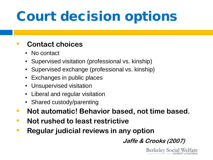### Court decision options

#### • **Contact choices**

- No contact
- Supervised visitation (professional vs. kinship)
- Supervised exchange (professional vs. kinship)
- Exchanges in public places
- Unsupervised visitation
- Liberal and regular visitation
- Shared custody/parenting
- **Not automatic! Behavior based, not time based.**
- **Not rushed to least restrictive**
- **Regular judicial reviews in any option**

**Jaffe & Crooks (2007)**

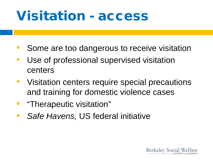#### Visitation - access

- Some are too dangerous to receive visitation
- Use of professional supervised visitation centers
- Visitation centers require special precautions and training for domestic violence cases
- "Therapeutic visitation"
- *Safe Havens,* US federal initiative

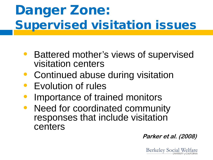### Danger Zone: Supervised visitation issues

- Battered mother's views of supervised visitation centers
- Continued abuse during visitation
- Evolution of rules
- Importance of trained monitors
- Need for coordinated community responses that include visitation centers

**Parker et al. (2008)**

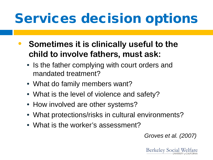### Services decision options

- **Sometimes it is clinically useful to the child to involve fathers, must ask:**
	- Is the father complying with court orders and mandated treatment?
	- What do family members want?
	- What is the level of violence and safety?
	- How involved are other systems?
	- What protections/risks in cultural environments?
	- What is the worker's assessment?

*Groves et al. (2007)*

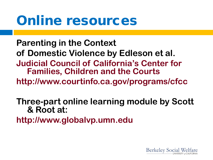#### Online resources

**Parenting in the Context of Domestic Violence by Edleson et al. Judicial Council of California's Center for Families, Children and the Courts http://www.courtinfo.ca.gov/programs/cfcc**

**Three-part online learning module by Scott & Root at:**

**http://www.globalvp.umn.edu**

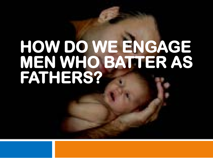# **HOW DO WE ENGAGE MEN WHO BATTER AS FATHERS?**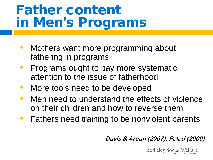#### Father content in Men's Programs

- Mothers want more programming about fathering in programs
- Programs ought to pay more systematic attention to the issue of fatherhood
- More tools need to be developed
- Men need to understand the effects of violence on their children and how to reverse them
- Fathers need training to be nonviolent parents

**Davis & Arean (2007), Peled (2000)**

**Berkeley Social Welfare**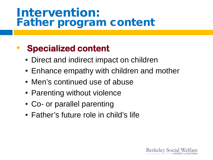#### Intervention: Father program content

#### • **Specialized content**

- Direct and indirect impact on children
- Enhance empathy with children and mother
- Men's continued use of abuse
- Parenting without violence
- Co- or parallel parenting
- Father's future role in child's life

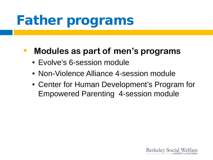### Father programs

#### • **Modules as part of men's programs**

- Evolve's 6-session module
- Non-Violence Alliance 4-session module
- Center for Human Development's Program for Empowered Parenting 4-session module

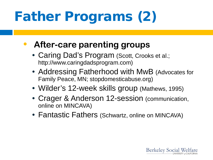## Father Programs (2)

#### • **After-care parenting groups**

- Caring Dad's Program (Scott, Crooks et al.; http://www.caringdadsprogram.com)
- Addressing Fatherhood with MwB (Advocates for Family Peace, MN; stopdomesticabuse.org)
- Wilder's 12-week skills group (Mathews, 1995)
- Crager & Anderson 12-session (communication, online on MINCAVA)
- Fantastic Fathers (Schwartz, online on MINCAVA)

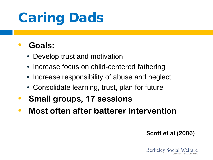### Caring Dads

#### • **Goals:**

- Develop trust and motivation
- Increase focus on child-centered fathering
- Increase responsibility of abuse and neglect
- Consolidate learning, trust, plan for future
- **Small groups, 17 sessions**
- **Most often after batterer intervention**

**Scott et al (2006)**

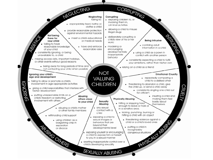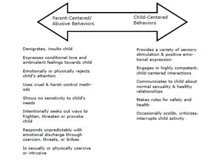Parent-Centered/<br>Abusive Behaviors

Child-Centered **Behaviors** 

Denigrates, insults child

Expresses conditional love and ambivalent feelings towards child

Emotionally or physically rejects child's attention

Uses cruel & harsh control methods

Shows no sensitivity to child's needs.

Intentionally seeks out ways to frighten, threaten or provoke child

Responds unpredictably with emotional discharge through coercion, threats, or bribes

Is sexually or physically coercive or intrusive.

Provides a variety of sensory stimulation & positive emotional expression

Engages in highly competent, child-centered interactions

Communicates to child about normal sexuality & healthy relationships

Makes rules for safety and health

Occasionally scolds, criticizes, interrupts child activity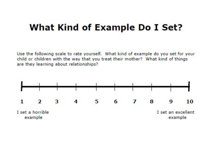#### **What Kind of Example Do I Set?**

Use the following scale to rate yourself. What kind of example do you set for your child or children with the way that you treat their mother? What kind of things are they learning about relationships?

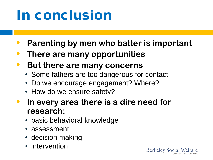### In conclusion

- **Parenting by men who batter is important**
- **There are many opportunities**
- **But there are many concerns**
	- Some fathers are too dangerous for contact
	- Do we encourage engagement? Where?
	- How do we ensure safety?
- **In every area there is a dire need for research:**
	- basic behavioral knowledge
	- assessment
	- decision making
	- intervention

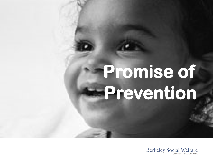## **Promise of Prevention**

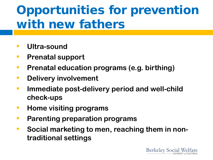#### Opportunities for prevention with new fathers

- **Ultra-sound**
- **Prenatal support**
- **Prenatal education programs (e.g. birthing)**
- **Delivery involvement**
- **Immediate post-delivery period and well-child check-ups**
- **Home visiting programs**
- **Parenting preparation programs**
- **Social marketing to men, reaching them in nontraditional settings**

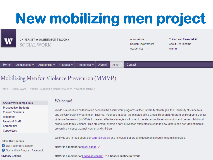## **New mobilizing men project**



UNIVERSITY of WASHINGTON | TACOMA SOCIAL WORK

Admissions Student Involvement Academics  $\sim$ 

**Tuition and Financial Aid** About UW Tacoma Alumni

| Home Admissions v Academics v Courses v Resources v Alumni About v Contact |  |
|----------------------------------------------------------------------------|--|
|----------------------------------------------------------------------------|--|

#### Mobilizing Men for Violence Prevention (MMVP)

Home / Social Work / About / Mobilizing Men for Violence Prevention (MMVP)

**Social Work Jump Links Prospective Students Current Students** Freshmen **Faculty & Staff Community Supporters** 

#### **Follow UW Tacoma**

- **O** UW Tacoma Facebook
- Social Work Program Facebook

**Advisory Council** 

#### Welcome!

MMVP is a research collaboration between the social work programs at the University of Michigan, the University of Minnesota and the University of Washington, Tacoma. Founded in 2008, the mission of the Global Research Program on Mobilizing Men for Violence Prevention (MMVP) is to develop effective strategies with men to create respectful relationships and prevent childhood exposure to family violence. This project will examine early prevention strategies to engage new fathers and non-violent men in preventing violence against women and children.

We invite you to read about our current projects and to look at papers and documents resulting from this project.

MMVP is a member of MenEngage  $\varnothing$ 

MMVP is a member of EngagingMen.Net  $\vec{\omega}$ , a Gender Justice Network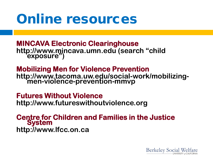#### Online resources

 **MINCAVA Electronic Clearinghouse http://www.mincava.umn.edu (search "child exposure")**

**Mobilizing Men for Violence Prevention http://www.tacoma.uw.edu/social-work/mobilizing- men-violence-prevention-mmvp**

**Futures Without Violence http://www.futureswithoutviolence.org**

**Centre for Children and Families in the Justice System http://www.lfcc.on.ca**